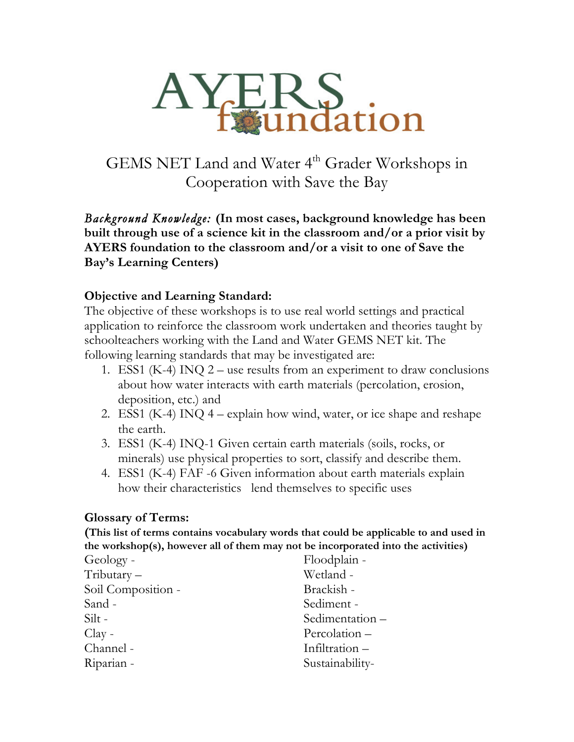

GEMS NET Land and Water 4<sup>th</sup> Grader Workshops in Cooperation with Save the Bay

*Background Knowledge:* **(In most cases, background knowledge has been built through use of a science kit in the classroom and/or a prior visit by AYERS foundation to the classroom and/or a visit to one of Save the Bay's Learning Centers)**

#### **Objective and Learning Standard:**

The objective of these workshops is to use real world settings and practical application to reinforce the classroom work undertaken and theories taught by schoolteachers working with the Land and Water GEMS NET kit. The following learning standards that may be investigated are:

- 1. ESS1 (K-4) INQ  $2$  use results from an experiment to draw conclusions about how water interacts with earth materials (percolation, erosion, deposition, etc.) and
- 2. ESS1 (K-4) INQ  $4 -$  explain how wind, water, or ice shape and reshape the earth.
- 3. ESS1 (K-4) INQ-1 Given certain earth materials (soils, rocks, or minerals) use physical properties to sort, classify and describe them.
- 4. ESS1 (K-4) FAF -6 Given information about earth materials explain how their characteristics lend themselves to specific uses

#### **Glossary of Terms:**

**(This list of terms contains vocabulary words that could be applicable to and used in the workshop(s), however all of them may not be incorporated into the activities)**

| Floodplain -    |
|-----------------|
| Wetland -       |
| Brackish -      |
| Sediment-       |
| Sedimentation-  |
| Percolation-    |
| Infiltration-   |
| Sustainability- |
|                 |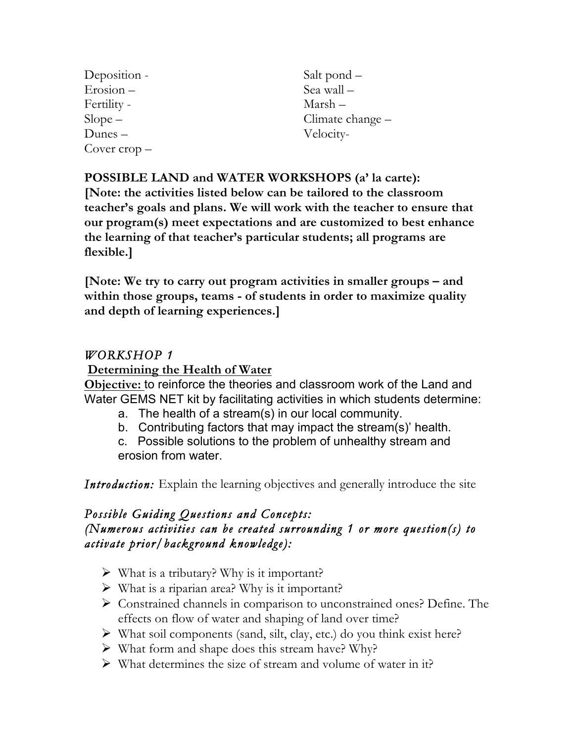| Deposition -          | Salt pond –      |
|-----------------------|------------------|
| $Erosion -$           | Sea wall -       |
| Fertility -           | Marsh –          |
| $Slope -$             | Climate change – |
| $Dunes -$             | Velocity-        |
| Cover $\text{crop}$ – |                  |

#### **POSSIBLE LAND and WATER WORKSHOPS (a' la carte):**

**[Note: the activities listed below can be tailored to the classroom teacher's goals and plans. We will work with the teacher to ensure that our program(s) meet expectations and are customized to best enhance the learning of that teacher's particular students; all programs are flexible.]**

**[Note: We try to carry out program activities in smaller groups – and within those groups, teams - of students in order to maximize quality and depth of learning experiences.]**

## *WORKSHOP 1*

#### **Determining the Health of Water**

**Objective:** to reinforce the theories and classroom work of the Land and Water GEMS NET kit by facilitating activities in which students determine:

- a. The health of a stream(s) in our local community.
- b. Contributing factors that may impact the stream(s)' health.

c. Possible solutions to the problem of unhealthy stream and erosion from water.

*Introduction:* Explain the learning objectives and generally introduce the site

#### *Possible Guiding Questions and Concepts: (Numerous activities can be created surrounding 1 or more question(s) to activate prior/background knowledge):*

- $\triangleright$  What is a tributary? Why is it important?
- $\triangleright$  What is a riparian area? Why is it important?
- Ø Constrained channels in comparison to unconstrained ones? Define. The effects on flow of water and shaping of land over time?
- $\triangleright$  What soil components (sand, silt, clay, etc.) do you think exist here?
- $\triangleright$  What form and shape does this stream have? Why?
- $\triangleright$  What determines the size of stream and volume of water in it?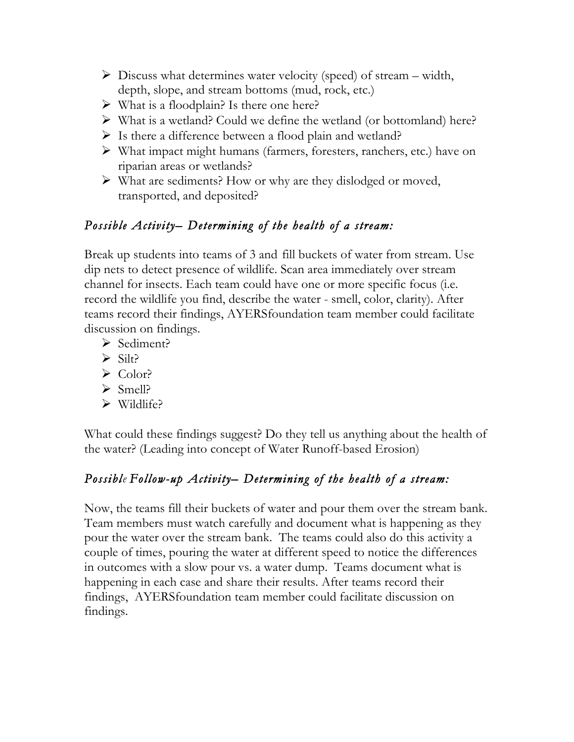- $\triangleright$  Discuss what determines water velocity (speed) of stream width, depth, slope, and stream bottoms (mud, rock, etc.)
- $\triangleright$  What is a floodplain? Is there one here?
- $\triangleright$  What is a wetland? Could we define the wetland (or bottomland) here?
- $\triangleright$  Is there a difference between a flood plain and wetland?
- $\triangleright$  What impact might humans (farmers, foresters, ranchers, etc.) have on riparian areas or wetlands?
- $\triangleright$  What are sediments? How or why are they dislodged or moved, transported, and deposited?

## *Possible Activity– Determining of the health of a stream:*

Break up students into teams of 3 andfill buckets of water from stream. Use dip nets to detect presence of wildlife. Scan area immediately over stream channel for insects. Each team could have one or more specific focus (i.e. record the wildlife you find, describe the water - smell, color, clarity). After teams record their findings, AYERSfoundation team member could facilitate discussion on findings.

- Ø Sediment?
- $\triangleright$  Silt?
- $\triangleright$  Color?
- $\triangleright$  Smell?
- $\triangleright$  Wildlife?

What could these findings suggest? Do they tell us anything about the health of the water? (Leading into concept of Water Runoff-based Erosion)

## *Possible Follow-up Activity– Determining of the health of a stream:*

Now, the teams fill their buckets of water and pour them over the stream bank. Team members must watch carefully and document what is happening as they pour the water over the stream bank. The teams could also do this activity a couple of times, pouring the water at different speed to notice the differences in outcomes with a slow pour vs. a water dump. Teams document what is happening in each case and share their results. After teams record their findings, AYERSfoundation team member could facilitate discussion on findings.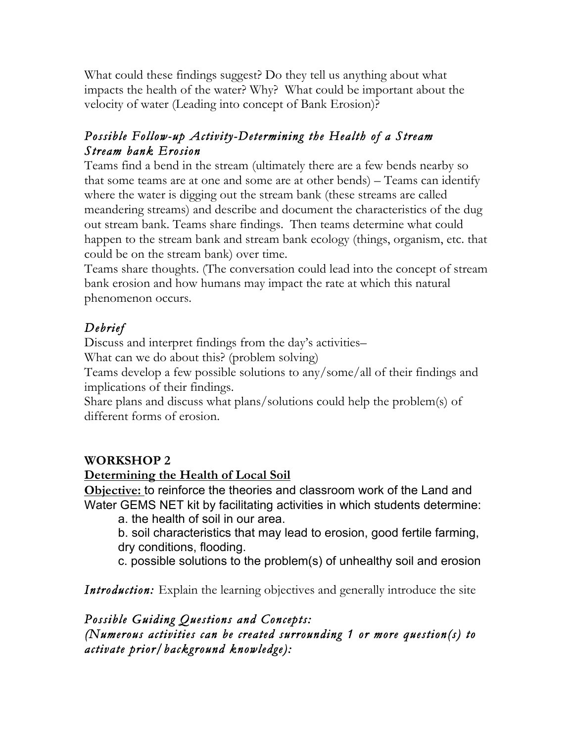What could these findings suggest? Do they tell us anything about what impacts the health of the water? Why? What could be important about the velocity of water (Leading into concept of Bank Erosion)?

## *Possible Follow-up Activity-Determining the Health of a Stream Stream bank Erosion*

Teams find a bend in the stream (ultimately there are a few bends nearby so that some teams are at one and some are at other bends) – Teams can identify where the water is digging out the stream bank (these streams are called meandering streams) and describe and document the characteristics of the dug out stream bank. Teams share findings. Then teams determine what could happen to the stream bank and stream bank ecology (things, organism, etc. that could be on the stream bank) over time.

Teams share thoughts. (The conversation could lead into the concept of stream bank erosion and how humans may impact the rate at which this natural phenomenon occurs.

## *Debrief*

Discuss and interpret findings from the day's activities–

What can we do about this? (problem solving)

Teams develop a few possible solutions to any/some/all of their findings and implications of their findings.

Share plans and discuss what plans/solutions could help the problem(s) of different forms of erosion.

## **WORKSHOP 2**

#### **Determining the Health of Local Soil**

**Objective:** to reinforce the theories and classroom work of the Land and Water GEMS NET kit by facilitating activities in which students determine:

a. the health of soil in our area.

b. soil characteristics that may lead to erosion, good fertile farming, dry conditions, flooding.

c. possible solutions to the problem(s) of unhealthy soil and erosion

*Introduction:* Explain the learning objectives and generally introduce the site

## *Possible Guiding Questions and Concepts:*

*(Numerous activities can be created surrounding 1 or more question(s) to activate prior/background knowledge):*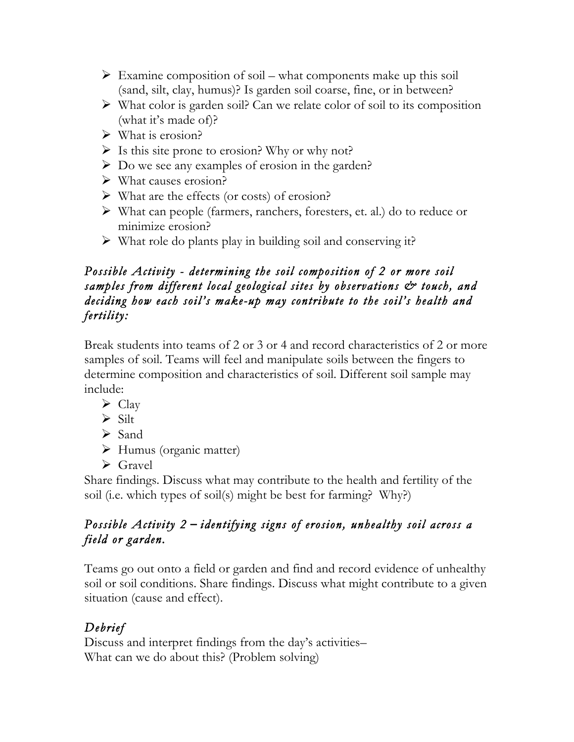- $\triangleright$  Examine composition of soil what components make up this soil (sand, silt, clay, humus)? Is garden soil coarse, fine, or in between?
- $\triangleright$  What color is garden soil? Can we relate color of soil to its composition (what it's made of)?
- $\triangleright$  What is erosion?
- $\triangleright$  Is this site prone to erosion? Why or why not?
- $\triangleright$  Do we see any examples of erosion in the garden?
- $\triangleright$  What causes erosion?
- $\triangleright$  What are the effects (or costs) of erosion?
- Ø What can people (farmers, ranchers, foresters, et. al.) do to reduce or minimize erosion?
- $\triangleright$  What role do plants play in building soil and conserving it?

#### *Possible Activity - determining the soil composition of 2 or more soil samples from different local geological sites by observations & touch, and deciding how each soil's make-up may contribute to the soil's health and fertility:*

Break students into teams of 2 or 3 or 4 and record characteristics of 2 or more samples of soil. Teams will feel and manipulate soils between the fingers to determine composition and characteristics of soil. Different soil sample may include:

- $\triangleright$  Clay
- $\triangleright$  Silt
- $\triangleright$  Sand
- $\triangleright$  Humus (organic matter)
- $\triangleright$  Gravel

Share findings. Discuss what may contribute to the health and fertility of the soil (i.e. which types of soil(s) might be best for farming? Why?)

## *Possible Activity 2* **–** *identifying signs of erosion, unhealthy soil across a field or garden.*

Teams go out onto a field or garden and find and record evidence of unhealthy soil or soil conditions. Share findings. Discuss what might contribute to a given situation (cause and effect).

# *Debrief*

Discuss and interpret findings from the day's activities– What can we do about this? (Problem solving)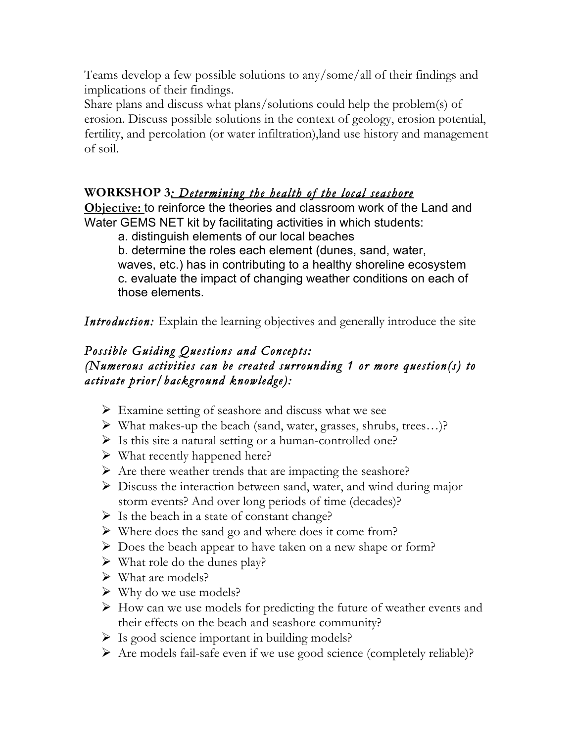Teams develop a few possible solutions to any/some/all of their findings and implications of their findings.

Share plans and discuss what plans/solutions could help the problem(s) of erosion. Discuss possible solutions in the context of geology, erosion potential, fertility, and percolation (or water infiltration),land use history and management of soil.

## **WORKSHOP 3***: Determining the health of the local seashore*

**Objective:** to reinforce the theories and classroom work of the Land and Water GEMS NET kit by facilitating activities in which students:

a. distinguish elements of our local beaches

b. determine the roles each element (dunes, sand, water,

waves, etc.) has in contributing to a healthy shoreline ecosystem c. evaluate the impact of changing weather conditions on each of those elements.

*Introduction:* Explain the learning objectives and generally introduce the site

#### *Possible Guiding Questions and Concepts: (Numerous activities can be created surrounding 1 or more question(s) to activate prior/background knowledge):*

- $\triangleright$  Examine setting of seashore and discuss what we see
- $\triangleright$  What makes-up the beach (sand, water, grasses, shrubs, trees...)?
- $\triangleright$  Is this site a natural setting or a human-controlled one?
- $\triangleright$  What recently happened here?
- $\triangleright$  Are there weather trends that are impacting the seashore?
- $\triangleright$  Discuss the interaction between sand, water, and wind during major storm events? And over long periods of time (decades)?
- $\triangleright$  Is the beach in a state of constant change?
- $\triangleright$  Where does the sand go and where does it come from?
- $\triangleright$  Does the beach appear to have taken on a new shape or form?
- $\triangleright$  What role do the dunes play?
- $\triangleright$  What are models?
- $\triangleright$  Why do we use models?
- $\triangleright$  How can we use models for predicting the future of weather events and their effects on the beach and seashore community?
- $\triangleright$  Is good science important in building models?
- Ø Are models fail-safe even if we use good science (completely reliable)?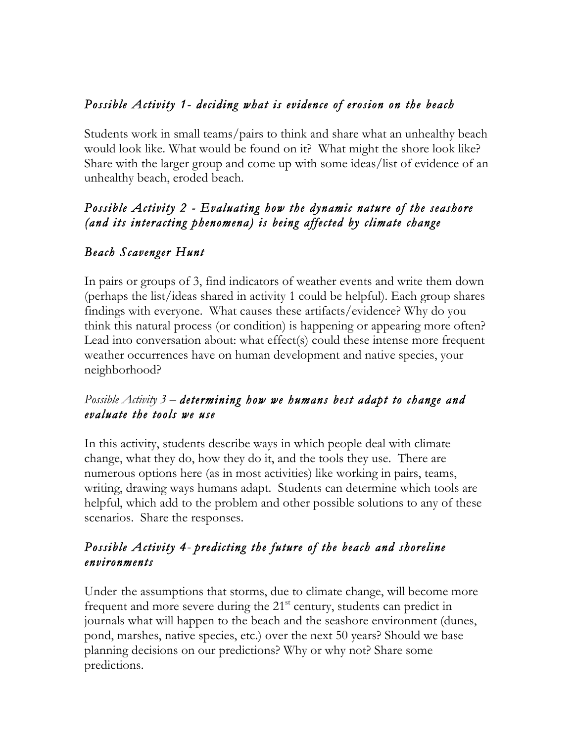## *Possible Activity 1- deciding what is evidence of erosion on the beach*

Students work in small teams/pairs to think and share what an unhealthy beach would look like. What would be found on it? What might the shore look like? Share with the larger group and come up with some ideas/list of evidence of an unhealthy beach, eroded beach.

## *Possible Activity 2 - Evaluating how the dynamic nature of the seashore (and its interacting phenomena) is being affected by climate change*

## *Beach Scavenger Hunt*

In pairs or groups of 3, find indicators of weather events and write them down (perhaps the list/ideas shared in activity 1 could be helpful). Each group shares findings with everyone. What causes these artifacts/evidence? Why do you think this natural process (or condition) is happening or appearing more often? Lead into conversation about: what effect(s) could these intense more frequent weather occurrences have on human development and native species, your neighborhood?

#### *Possible Activity 3* – *determining how we humans best adapt to change and evaluate the tools we use*

In this activity, students describe ways in which people deal with climate change, what they do, how they do it, and the tools they use. There are numerous options here (as in most activities) like working in pairs, teams, writing, drawing ways humans adapt. Students can determine which tools are helpful, which add to the problem and other possible solutions to any of these scenarios. Share the responses.

#### *Possible Activity 4*- *predicting the future of the beach and shoreline environments*

Under the assumptions that storms, due to climate change, will become more frequent and more severe during the  $21<sup>st</sup>$  century, students can predict in journals what will happen to the beach and the seashore environment (dunes, pond, marshes, native species, etc.) over the next 50 years? Should we base planning decisions on our predictions? Why or why not? Share some predictions.